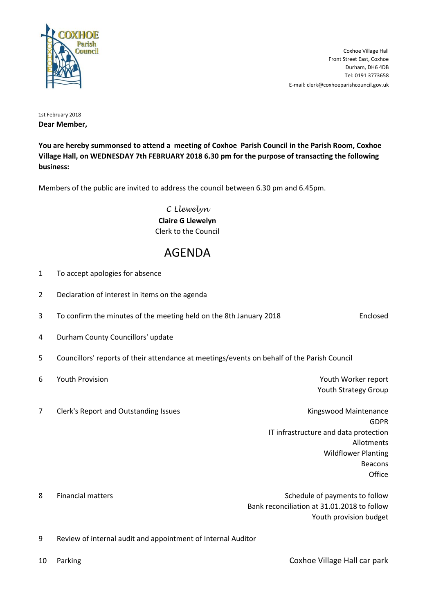

E-mail: clerk@coxhoeparishcouncil.gov.uk Tel: 0191 3773658 Durham, DH6 4DB Front Street East, Coxhoe Coxhoe Village Hall

1st February 2018 **Dear Member,**

**You are hereby summonsed to attend a meeting of Coxhoe Parish Council in the Parish Room, Coxhoe Village Hall, on WEDNESDAY 7th FEBRUARY 2018 6.30 pm for the purpose of transacting the following business:**

Members of the public are invited to address the council between 6.30 pm and 6.45pm.

*C Llewelyn* **Claire G Llewelyn** Clerk to the Council

## AGENDA

| $\mathbf{1}$   | To accept apologies for absence                                                             |                                                                       |                   |
|----------------|---------------------------------------------------------------------------------------------|-----------------------------------------------------------------------|-------------------|
| $\overline{2}$ | Declaration of interest in items on the agenda                                              |                                                                       |                   |
| 3              | To confirm the minutes of the meeting held on the 8th January 2018                          |                                                                       | Enclosed          |
| 4              | Durham County Councillors' update                                                           |                                                                       |                   |
| 5              | Councillors' reports of their attendance at meetings/events on behalf of the Parish Council |                                                                       |                   |
| 6              | Youth Provision                                                                             | Youth Worker report<br>Youth Strategy Group                           |                   |
| $\overline{7}$ | Clerk's Report and Outstanding Issues                                                       | Kingswood Maintenance                                                 | <b>GDPR</b>       |
|                |                                                                                             | IT infrastructure and data protection                                 | Allotments        |
|                |                                                                                             | <b>Wildflower Planting</b>                                            | Beacons<br>Office |
| 8              | <b>Financial matters</b>                                                                    | Schedule of payments to follow                                        |                   |
|                |                                                                                             | Bank reconciliation at 31.01.2018 to follow<br>Youth provision budget |                   |
| 9              | Review of internal audit and appointment of Internal Auditor                                |                                                                       |                   |
| 10             | Parking                                                                                     | Coxhoe Village Hall car park                                          |                   |